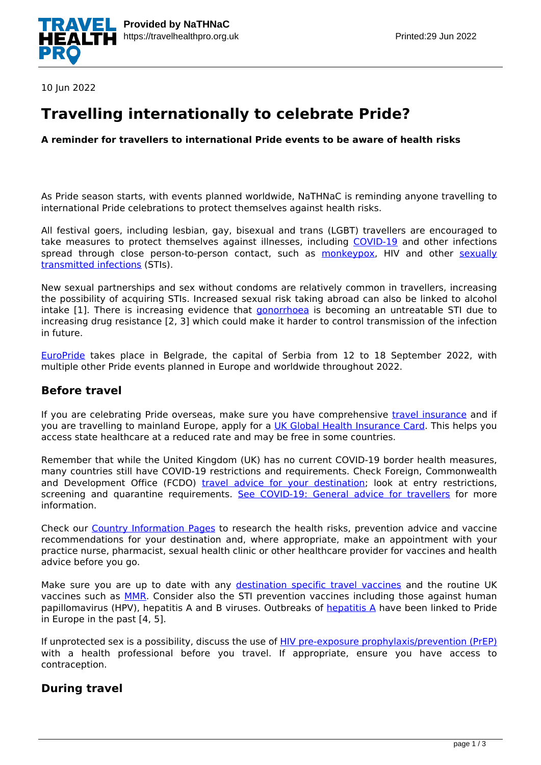

10 Jun 2022

# **Travelling internationally to celebrate Pride?**

**A reminder for travellers to international Pride events to be aware of health risks**

As Pride season starts, with events planned worldwide, NaTHNaC is reminding anyone travelling to international Pride celebrations to protect themselves against health risks.

All festival goers, including lesbian, gay, bisexual and trans (LGBT) travellers are encouraged to take measures to protect themselves against illnesses, including [COVID-19](https://travelhealthpro.org.uk/disease/221/covid-19) and other infections spread through close person-to-person contact, such as [monkeypox,](https://travelhealthpro.org.uk/disease/125/monkeypox) HIV and other [sexually](https://travelhealthpro.org.uk/factsheet/15/sexually-transmitted-infections) [transmitted infections](https://travelhealthpro.org.uk/factsheet/15/sexually-transmitted-infections) (STIs).

New sexual partnerships and sex without condoms are relatively common in travellers, increasing the possibility of acquiring STIs. Increased sexual risk taking abroad can also be linked to alcohol intake [1]. There is increasing evidence that *[gonorrhoea](https://www.nhs.uk/conditions/gonorrhoea/)* is becoming an untreatable STI due to increasing drug resistance [2, 3] which could make it harder to control transmission of the infection in future.

[EuroPride](https://europride2022.com/) takes place in Belgrade, the capital of Serbia from 12 to 18 September 2022, with multiple other Pride events planned in Europe and worldwide throughout 2022.

#### **Before travel**

If you are celebrating Pride overseas, make sure you have comprehensive [travel insurance](https://travelhealthpro.org.uk/factsheet/10/travel-insurance) and if you are travelling to mainland Europe, apply for a [UK Global Health Insurance Card.](https://www.gov.uk/global-health-insurance-card) This helps you access state healthcare at a reduced rate and may be free in some countries.

Remember that while the United Kingdom (UK) has no current COVID-19 border health measures, many countries still have COVID-19 restrictions and requirements. Check Foreign, Commonwealth and Development Office (FCDO) [travel advice for your destination;](https://www.gov.uk/foreign-travel-advice) look at entry restrictions, screening and quarantine requirements. [See COVID-19: General advice for travellers](https://travelhealthpro.org.uk/news/499/covid-19-general-advice-for-travellers) for more information.

Check our [Country Information Pages](https://travelhealthpro.org.uk/countries) to research the health risks, prevention advice and vaccine recommendations for your destination and, where appropriate, make an appointment with your practice nurse, pharmacist, sexual health clinic or other healthcare provider for vaccines and health advice before you go.

Make sure you are up to date with any [destination specific travel vaccines](https://travelhealthpro.org.uk/countries) and the routine UK vaccines such as [MMR](https://www.nhs.uk/conditions/vaccinations/mmr-vaccine/). Consider also the STI prevention vaccines including those against human papillomavirus (HPV), hepatitis A and B viruses. Outbreaks of [hepatitis A](https://travelhealthpro.org.uk/disease/70/hepatitis-a) have been linked to Pride in Europe in the past [4, 5].

If unprotected sex is a possibility, discuss the use of [HIV pre-exposure prophylaxis/prevention \(PrEP\)](https://www.iwantprepnow.co.uk/) with a health professional before you travel. If appropriate, ensure you have access to contraception.

### **During travel**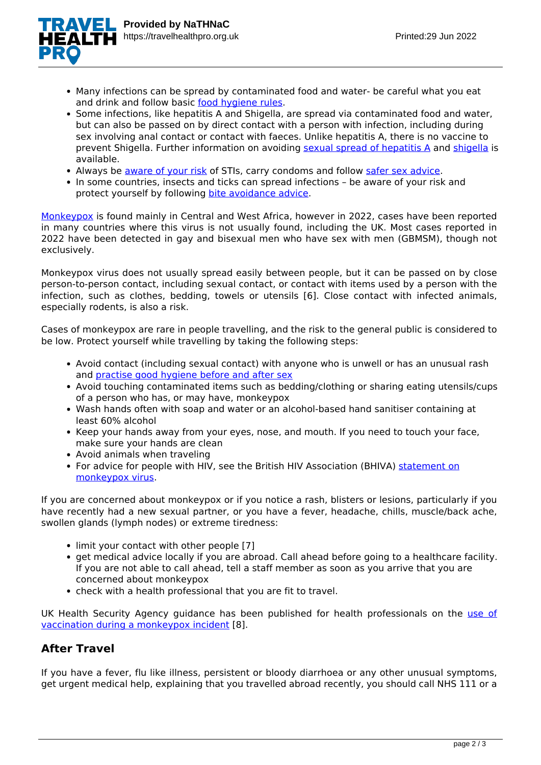

- Many infections can be spread by contaminated food and water- be careful what you eat and drink and follow basic [food hygiene rules.](https://travelhealthpro.org.uk/factsheet/44/food-and-water-hygiene)
- Some infections, like hepatitis A and Shigella, are spread via contaminated food and water, but can also be passed on by direct contact with a person with infection, including during sex involving anal contact or contact with faeces. Unlike hepatitis A, there is no vaccine to prevent Shigella. Further information on avoiding [sexual spread of hepatitis A](https://www.gov.uk/government/publications/hepatitis-a-preventing-infection-in-men-who-have-sex-with-men) and [shigella](https://www.gov.uk/government/publications/shigella-leaflet-and-poster) is available.
- Always be [aware of your risk](https://www.nhs.uk/live-well/sexual-health/sex-activities-and-risk/) of STIs, carry condoms and follow [safer sex advice](https://www.bashh.org/public/safer-sex-advice/).
- In some countries, insects and ticks can spread infections be aware of your risk and protect yourself by following [bite avoidance advice.](https://travelhealthpro.org.uk/factsheet/38/insect-and-tick-bite-avoidance)

[Monkeypox](https://www.nhs.uk/conditions/monkeypox/) is found mainly in Central and West Africa, however in 2022, cases have been reported in many countries where this virus is not usually found, including the UK. Most cases reported in 2022 have been detected in gay and bisexual men who have sex with men (GBMSM), though not exclusively.

Monkeypox virus does not usually spread easily between people, but it can be passed on by close person-to-person contact, including sexual contact, or contact with items used by a person with the infection, such as clothes, bedding, towels or utensils [6]. Close contact with infected animals, especially rodents, is also a risk.

Cases of monkeypox are rare in people travelling, and the risk to the general public is considered to be low. Protect yourself while travelling by taking the following steps:

- Avoid contact (including sexual contact) with anyone who is unwell or has an unusual rash and [practise good hygiene before and after sex](https://www.gov.uk/government/news/rise-in-extremely-drug-resistant-shigella-in-gay-and-bisexual-men)
- Avoid touching contaminated items such as bedding/clothing or sharing eating utensils/cups of a person who has, or may have, monkeypox
- Wash hands often with soap and water or an alcohol-based hand sanitiser containing at least 60% alcohol
- Keep your hands away from your eyes, nose, and mouth. If you need to touch your face, make sure your hands are clean
- Avoid animals when traveling
- For advice for people with HIV, see the British HIV Association (BHIVA) [statement on](https://www.bhiva.org/BHIVA-rapid-statement-on-monkeypox-virus) [monkeypox virus.](https://www.bhiva.org/BHIVA-rapid-statement-on-monkeypox-virus)

If you are concerned about monkeypox or if you notice a rash, blisters or lesions, particularly if you have recently had a new sexual partner, or you have a fever, headache, chills, muscle/back ache, swollen glands (lymph nodes) or extreme tiredness:

- limit your contact with other people [7]
- get medical advice locally if you are abroad. Call ahead before going to a healthcare facility. If you are not able to call ahead, tell a staff member as soon as you arrive that you are concerned about monkeypox
- check with a health professional that you are fit to travel.

UK Health Security Agency guidance has been published for health professionals on the [use of](https://www.gov.uk/government/publications/monkeypox-vaccination) [vaccination during a monkeypox incident](https://www.gov.uk/government/publications/monkeypox-vaccination) [8].

### **After Travel**

If you have a fever, flu like illness, persistent or bloody diarrhoea or any other unusual symptoms, get urgent medical help, explaining that you travelled abroad recently, you should call NHS 111 or a